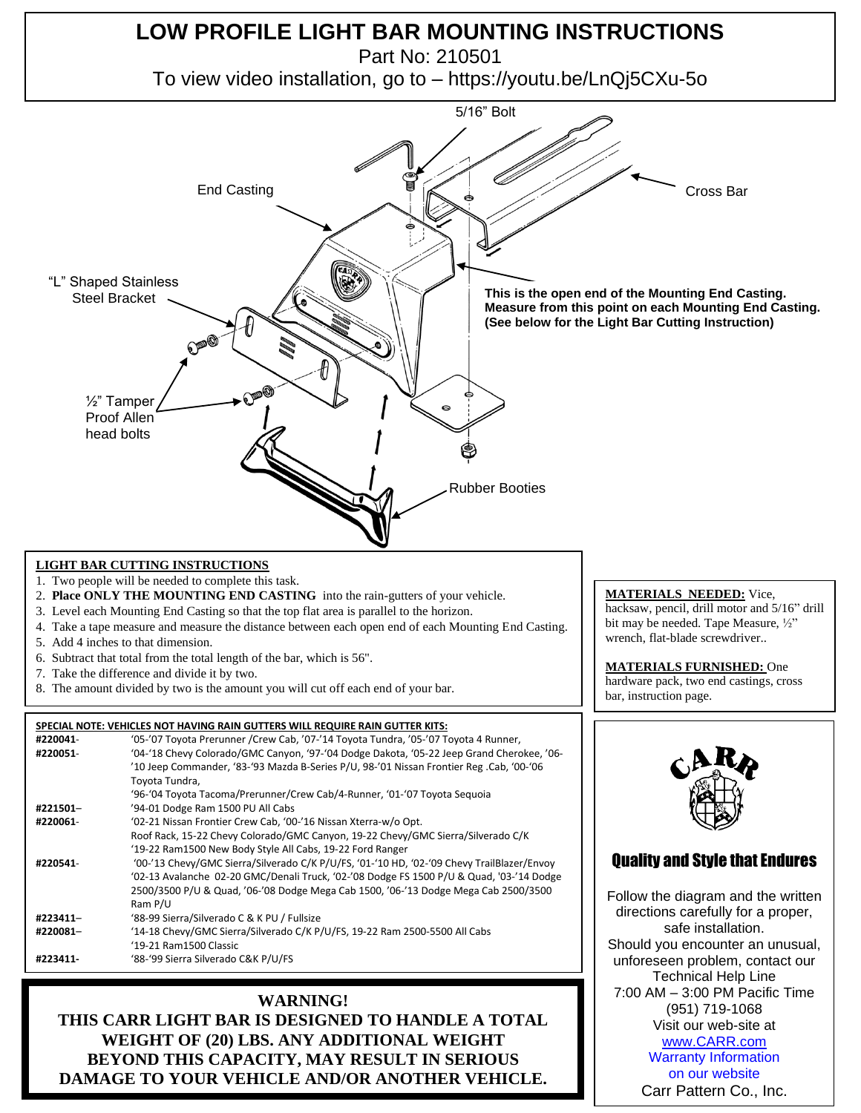

**WARNING! THIS CARR LIGHT BAR IS DESIGNED TO HANDLE A TOTAL WEIGHT OF (20) LBS. ANY ADDITIONAL WEIGHT BEYOND THIS CAPACITY, MAY RESULT IN SERIOUS DAMAGE TO YOUR VEHICLE AND/OR ANOTHER VEHICLE.**

(951) 719-1068 Visit our web-site at [www.CARR.com](http://www.carr.com/) Warranty Information on our website Carr Pattern Co., Inc.